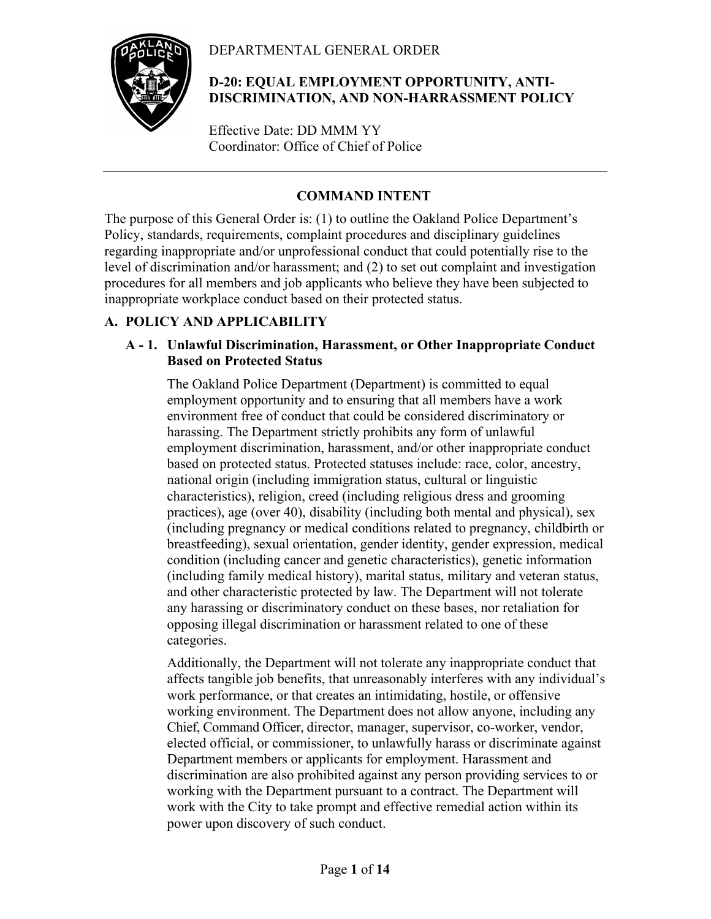## DEPARTMENTAL GENERAL ORDER



## **D-20: EQUAL EMPLOYMENT OPPORTUNITY, ANTI-DISCRIMINATION, AND NON-HARRASSMENT POLICY**

Effective Date: DD MMM YY Coordinator: Office of Chief of Police

# **COMMAND INTENT**

The purpose of this General Order is: (1) to outline the Oakland Police Department's Policy, standards, requirements, complaint procedures and disciplinary guidelines regarding inappropriate and/or unprofessional conduct that could potentially rise to the level of discrimination and/or harassment; and (2) to set out complaint and investigation procedures for all members and job applicants who believe they have been subjected to inappropriate workplace conduct based on their protected status.

# **A. POLICY AND APPLICABILITY**

## **A - 1. Unlawful Discrimination, Harassment, or Other Inappropriate Conduct Based on Protected Status**

The Oakland Police Department (Department) is committed to equal employment opportunity and to ensuring that all members have a work environment free of conduct that could be considered discriminatory or harassing. The Department strictly prohibits any form of unlawful employment discrimination, harassment, and/or other inappropriate conduct based on protected status. Protected statuses include: race, color, ancestry, national origin (including immigration status, cultural or linguistic characteristics), religion, creed (including religious dress and grooming practices), age (over 40), disability (including both mental and physical), sex (including pregnancy or medical conditions related to pregnancy, childbirth or breastfeeding), sexual orientation, gender identity, gender expression, medical condition (including cancer and genetic characteristics), genetic information (including family medical history), marital status, military and veteran status, and other characteristic protected by law. The Department will not tolerate any harassing or discriminatory conduct on these bases, nor retaliation for opposing illegal discrimination or harassment related to one of these categories.

Additionally, the Department will not tolerate any inappropriate conduct that affects tangible job benefits, that unreasonably interferes with any individual's work performance, or that creates an intimidating, hostile, or offensive working environment. The Department does not allow anyone, including any Chief, Command Officer, director, manager, supervisor, co-worker, vendor, elected official, or commissioner, to unlawfully harass or discriminate against Department members or applicants for employment. Harassment and discrimination are also prohibited against any person providing services to or working with the Department pursuant to a contract. The Department will work with the City to take prompt and effective remedial action within its power upon discovery of such conduct.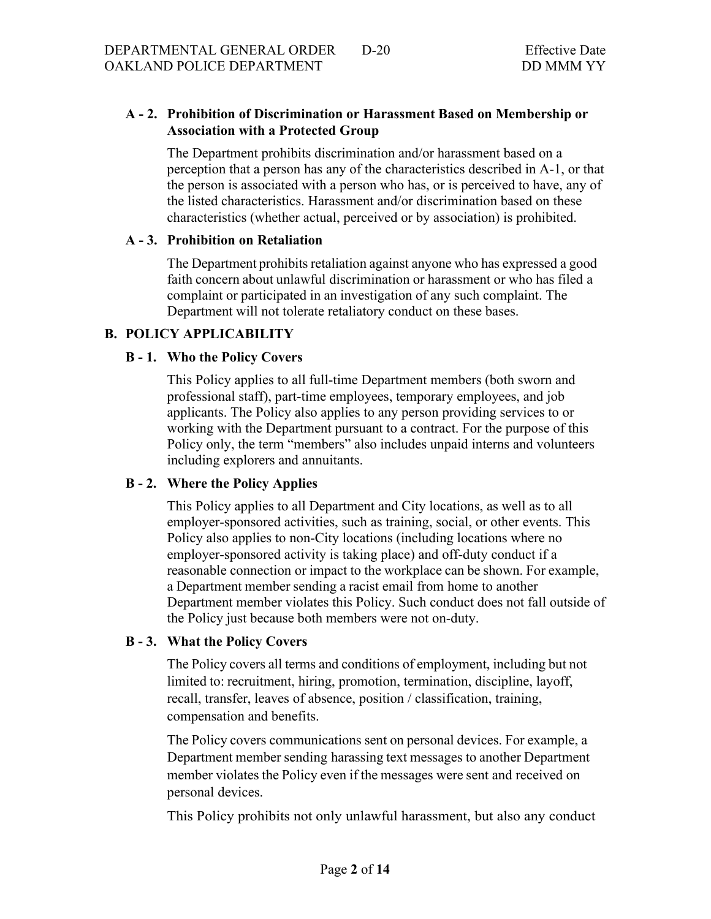## **A - 2. Prohibition of Discrimination or Harassment Based on Membership or Association with a Protected Group**

The Department prohibits discrimination and/or harassment based on a perception that a person has any of the characteristics described in A-1, or that the person is associated with a person who has, or is perceived to have, any of the listed characteristics. Harassment and/or discrimination based on these characteristics (whether actual, perceived or by association) is prohibited.

### **A - 3. Prohibition on Retaliation**

The Department prohibits retaliation against anyone who has expressed a good faith concern about unlawful discrimination or harassment or who has filed a complaint or participated in an investigation of any such complaint. The Department will not tolerate retaliatory conduct on these bases.

## **B. POLICY APPLICABILITY**

### **B - 1. Who the Policy Covers**

This Policy applies to all full-time Department members (both sworn and professional staff), part-time employees, temporary employees, and job applicants. The Policy also applies to any person providing services to or working with the Department pursuant to a contract. For the purpose of this Policy only, the term "members" also includes unpaid interns and volunteers including explorers and annuitants.

## **B - 2. Where the Policy Applies**

This Policy applies to all Department and City locations, as well as to all employer-sponsored activities, such as training, social, or other events. This Policy also applies to non-City locations (including locations where no employer-sponsored activity is taking place) and off-duty conduct if a reasonable connection or impact to the workplace can be shown. For example, a Department member sending a racist email from home to another Department member violates this Policy. Such conduct does not fall outside of the Policy just because both members were not on-duty.

#### **B - 3. What the Policy Covers**

The Policy covers all terms and conditions of employment, including but not limited to: recruitment, hiring, promotion, termination, discipline, layoff, recall, transfer, leaves of absence, position / classification, training, compensation and benefits.

The Policy covers communications sent on personal devices. For example, a Department member sending harassing text messages to another Department member violates the Policy even if the messages were sent and received on personal devices.

This Policy prohibits not only unlawful harassment, but also any conduct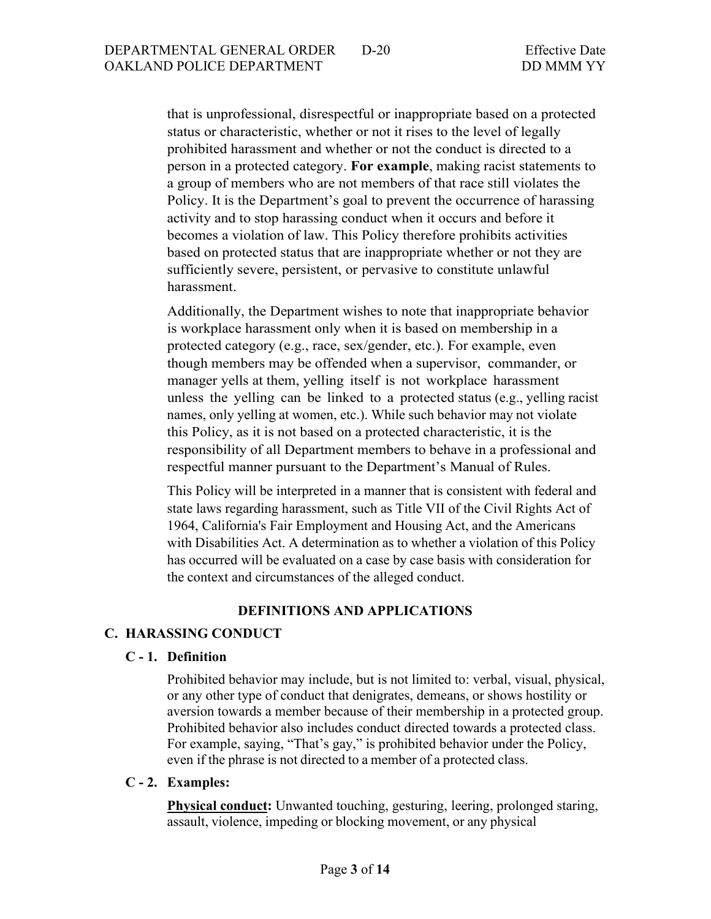that is unprofessional, disrespectful or inappropriate based on a protected status or characteristic, whether or not it rises to the level of legally prohibited harassment and whether or not the conduct is directed to a person in a protected category. **For example**, making racist statements to a group of members who are not members of that race still violates the Policy. It is the Department's goal to prevent the occurrence of harassing activity and to stop harassing conduct when it occurs and before it becomes a violation of law. This Policy therefore prohibits activities based on protected status that are inappropriate whether or not they are sufficiently severe, persistent, or pervasive to constitute unlawful harassment.

Additionally, the Department wishes to note that inappropriate behavior is workplace harassment only when it is based on membership in a protected category (e.g., race, sex/gender, etc.). For example, even though members may be offended when a supervisor, commander, or manager yells at them, yelling itself is not workplace harassment unless the yelling can be linked to a protected status (e.g., yelling racist names, only yelling at women, etc.). While such behavior may not violate this Policy, as it is not based on a protected characteristic, it is the responsibility of all Department members to behave in a professional and respectful manner pursuant to the Department's Manual of Rules.

This Policy will be interpreted in a manner that is consistent with federal and state laws regarding harassment, such as Title VII of the Civil Rights Act of 1964, California's Fair Employment and Housing Act, and the Americans with Disabilities Act. A determination as to whether a violation of this Policy has occurred will be evaluated on a case by case basis with consideration for the context and circumstances of the alleged conduct.

#### **DEFINITIONS AND APPLICATIONS**

### **C. HARASSING CONDUCT**

### **C - 1. Definition**

Prohibited behavior may include, but is not limited to: verbal, visual, physical, or any other type of conduct that denigrates, demeans, or shows hostility or aversion towards a member because of their membership in a protected group. Prohibited behavior also includes conduct directed towards a protected class. For example, saying, "That's gay," is prohibited behavior under the Policy, even if the phrase is not directed to a member of a protected class.

#### **C - 2. Examples:**

**Physical conduct:** Unwanted touching, gesturing, leering, prolonged staring, assault, violence, impeding or blocking movement, or any physical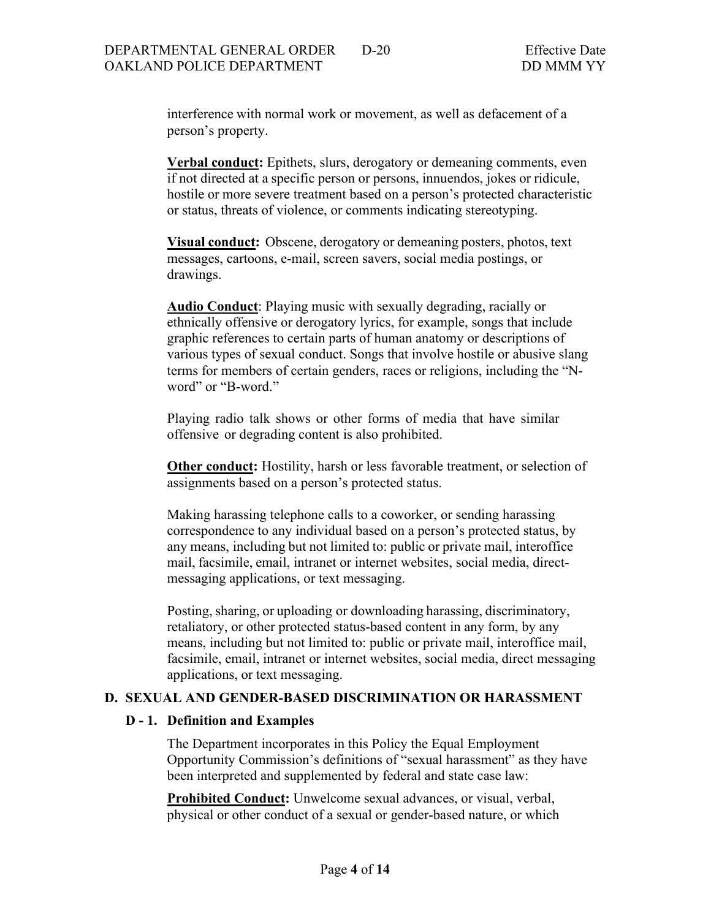interference with normal work or movement, as well as defacement of a person's property.

**Verbal conduct:** Epithets, slurs, derogatory or demeaning comments, even if not directed at a specific person or persons, innuendos, jokes or ridicule, hostile or more severe treatment based on a person's protected characteristic or status, threats of violence, or comments indicating stereotyping.

**Visual conduct:** Obscene, derogatory or demeaning posters, photos, text messages, cartoons, e-mail, screen savers, social media postings, or drawings.

**Audio Conduct**: Playing music with sexually degrading, racially or ethnically offensive or derogatory lyrics, for example, songs that include graphic references to certain parts of human anatomy or descriptions of various types of sexual conduct. Songs that involve hostile or abusive slang terms for members of certain genders, races or religions, including the "Nword" or "B-word."

Playing radio talk shows or other forms of media that have similar offensive or degrading content is also prohibited.

**Other conduct:** Hostility, harsh or less favorable treatment, or selection of assignments based on a person's protected status.

Making harassing telephone calls to a coworker, or sending harassing correspondence to any individual based on a person's protected status, by any means, including but not limited to: public or private mail, interoffice mail, facsimile, email, intranet or internet websites, social media, directmessaging applications, or text messaging.

Posting, sharing, or uploading or downloading harassing, discriminatory, retaliatory, or other protected status-based content in any form, by any means, including but not limited to: public or private mail, interoffice mail, facsimile, email, intranet or internet websites, social media, direct messaging applications, or text messaging.

#### **D. SEXUAL AND GENDER-BASED DISCRIMINATION OR HARASSMENT**

#### **D - 1. Definition and Examples**

The Department incorporates in this Policy the Equal Employment Opportunity Commission's definitions of "sexual harassment" as they have been interpreted and supplemented by federal and state case law:

**Prohibited Conduct:** Unwelcome sexual advances, or visual, verbal, physical or other conduct of a sexual or gender-based nature, or which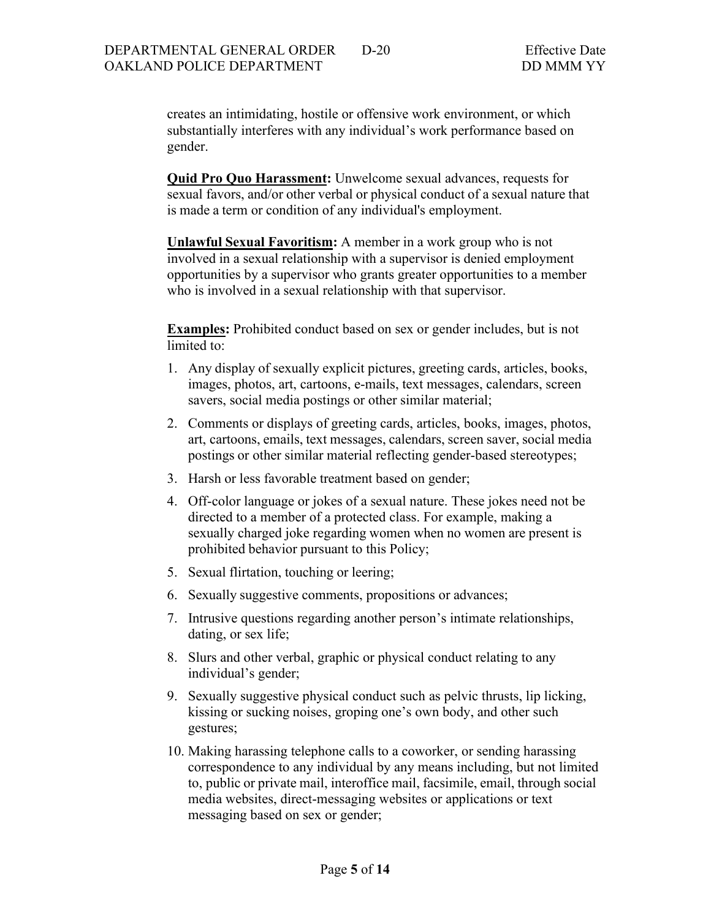creates an intimidating, hostile or offensive work environment, or which substantially interferes with any individual's work performance based on gender.

**Quid Pro Quo Harassment:** Unwelcome sexual advances, requests for sexual favors, and/or other verbal or physical conduct of a sexual nature that is made a term or condition of any individual's employment.

**Unlawful Sexual Favoritism:** A member in a work group who is not involved in a sexual relationship with a supervisor is denied employment opportunities by a supervisor who grants greater opportunities to a member who is involved in a sexual relationship with that supervisor.

**Examples:** Prohibited conduct based on sex or gender includes, but is not limited to:

- 1. Any display of sexually explicit pictures, greeting cards, articles, books, images, photos, art, cartoons, e-mails, text messages, calendars, screen savers, social media postings or other similar material;
- 2. Comments or displays of greeting cards, articles, books, images, photos, art, cartoons, emails, text messages, calendars, screen saver, social media postings or other similar material reflecting gender-based stereotypes;
- 3. Harsh or less favorable treatment based on gender;
- 4. Off-color language or jokes of a sexual nature. These jokes need not be directed to a member of a protected class. For example, making a sexually charged joke regarding women when no women are present is prohibited behavior pursuant to this Policy;
- 5. Sexual flirtation, touching or leering;
- 6. Sexually suggestive comments, propositions or advances;
- 7. Intrusive questions regarding another person's intimate relationships, dating, or sex life;
- 8. Slurs and other verbal, graphic or physical conduct relating to any individual's gender;
- 9. Sexually suggestive physical conduct such as pelvic thrusts, lip licking, kissing or sucking noises, groping one's own body, and other such gestures;
- 10. Making harassing telephone calls to a coworker, or sending harassing correspondence to any individual by any means including, but not limited to, public or private mail, interoffice mail, facsimile, email, through social media websites, direct-messaging websites or applications or text messaging based on sex or gender;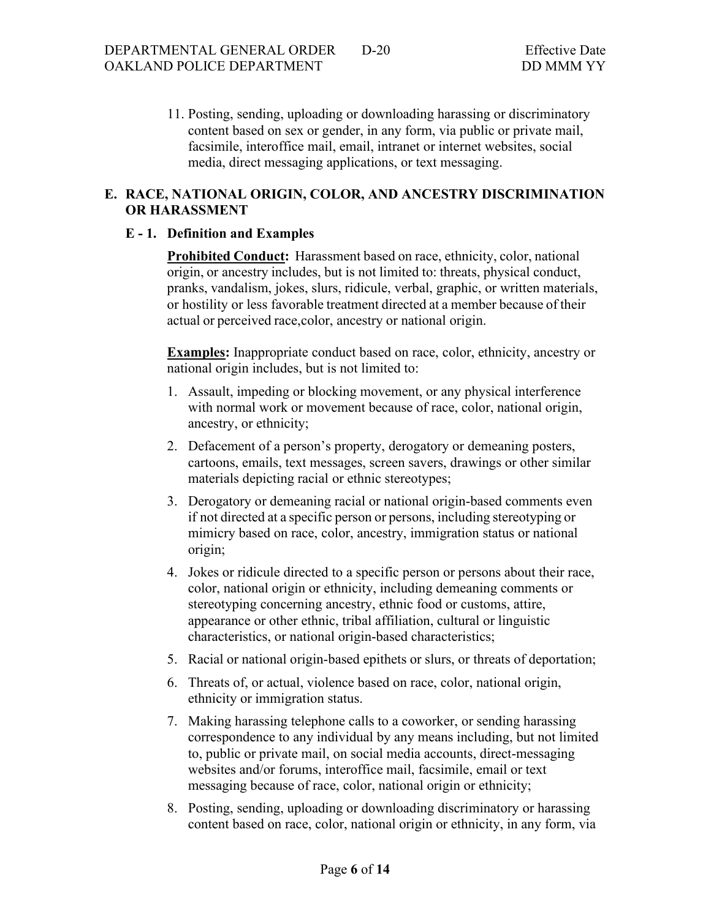11. Posting, sending, uploading or downloading harassing or discriminatory content based on sex or gender, in any form, via public or private mail, facsimile, interoffice mail, email, intranet or internet websites, social media, direct messaging applications, or text messaging.

## **E. RACE, NATIONAL ORIGIN, COLOR, AND ANCESTRY DISCRIMINATION OR HARASSMENT**

### **E - 1. Definition and Examples**

**Prohibited Conduct:** Harassment based on race, ethnicity, color, national origin, or ancestry includes, but is not limited to: threats, physical conduct, pranks, vandalism, jokes, slurs, ridicule, verbal, graphic, or written materials, or hostility or less favorable treatment directed at a member because of their actual or perceived race,color, ancestry or national origin.

**Examples:** Inappropriate conduct based on race, color, ethnicity, ancestry or national origin includes, but is not limited to:

- 1. Assault, impeding or blocking movement, or any physical interference with normal work or movement because of race, color, national origin, ancestry, or ethnicity;
- 2. Defacement of a person's property, derogatory or demeaning posters, cartoons, emails, text messages, screen savers, drawings or other similar materials depicting racial or ethnic stereotypes;
- 3. Derogatory or demeaning racial or national origin-based comments even if not directed at a specific person or persons, including stereotyping or mimicry based on race, color, ancestry, immigration status or national origin;
- 4. Jokes or ridicule directed to a specific person or persons about their race, color, national origin or ethnicity, including demeaning comments or stereotyping concerning ancestry, ethnic food or customs, attire, appearance or other ethnic, tribal affiliation, cultural or linguistic characteristics, or national origin-based characteristics;
- 5. Racial or national origin-based epithets or slurs, or threats of deportation;
- 6. Threats of, or actual, violence based on race, color, national origin, ethnicity or immigration status.
- 7. Making harassing telephone calls to a coworker, or sending harassing correspondence to any individual by any means including, but not limited to, public or private mail, on social media accounts, direct-messaging websites and/or forums, interoffice mail, facsimile, email or text messaging because of race, color, national origin or ethnicity;
- 8. Posting, sending, uploading or downloading discriminatory or harassing content based on race, color, national origin or ethnicity, in any form, via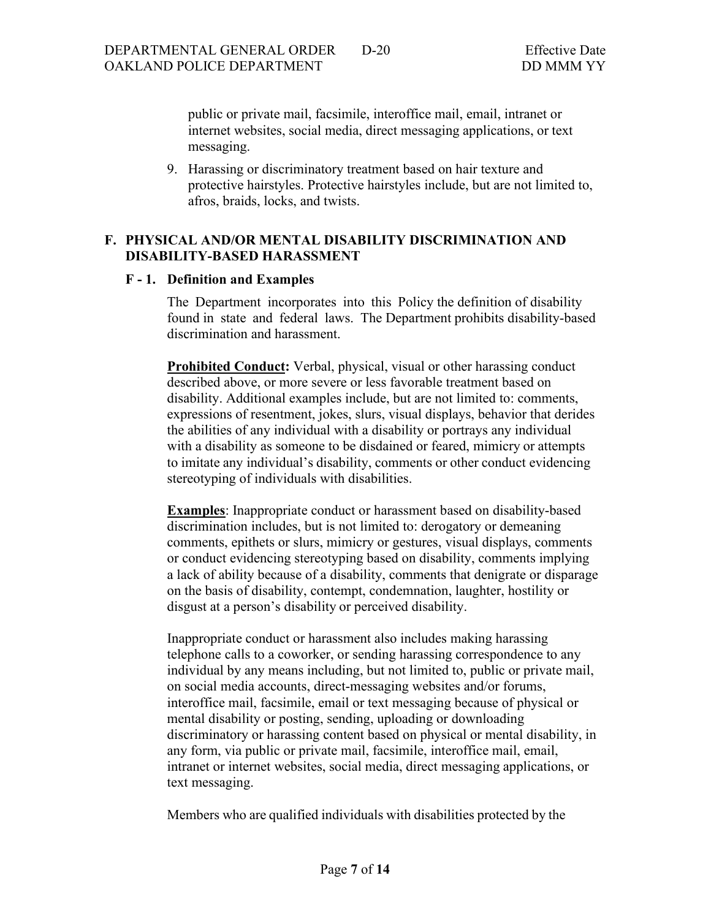public or private mail, facsimile, interoffice mail, email, intranet or internet websites, social media, direct messaging applications, or text messaging.

9. Harassing or discriminatory treatment based on hair texture and protective hairstyles. Protective hairstyles include, but are not limited to, afros, braids, locks, and twists.

### **F. PHYSICAL AND/OR MENTAL DISABILITY DISCRIMINATION AND DISABILITY-BASED HARASSMENT**

#### **F - 1. Definition and Examples**

The Department incorporates into this Policy the definition of disability found in state and federal laws. The Department prohibits disability-based discrimination and harassment.

**Prohibited Conduct:** Verbal, physical, visual or other harassing conduct described above, or more severe or less favorable treatment based on disability. Additional examples include, but are not limited to: comments, expressions of resentment, jokes, slurs, visual displays, behavior that derides the abilities of any individual with a disability or portrays any individual with a disability as someone to be disdained or feared, mimicry or attempts to imitate any individual's disability, comments or other conduct evidencing stereotyping of individuals with disabilities.

**Examples**: Inappropriate conduct or harassment based on disability-based discrimination includes, but is not limited to: derogatory or demeaning comments, epithets or slurs, mimicry or gestures, visual displays, comments or conduct evidencing stereotyping based on disability, comments implying a lack of ability because of a disability, comments that denigrate or disparage on the basis of disability, contempt, condemnation, laughter, hostility or disgust at a person's disability or perceived disability.

Inappropriate conduct or harassment also includes making harassing telephone calls to a coworker, or sending harassing correspondence to any individual by any means including, but not limited to, public or private mail, on social media accounts, direct-messaging websites and/or forums, interoffice mail, facsimile, email or text messaging because of physical or mental disability or posting, sending, uploading or downloading discriminatory or harassing content based on physical or mental disability, in any form, via public or private mail, facsimile, interoffice mail, email, intranet or internet websites, social media, direct messaging applications, or text messaging.

Members who are qualified individuals with disabilities protected by the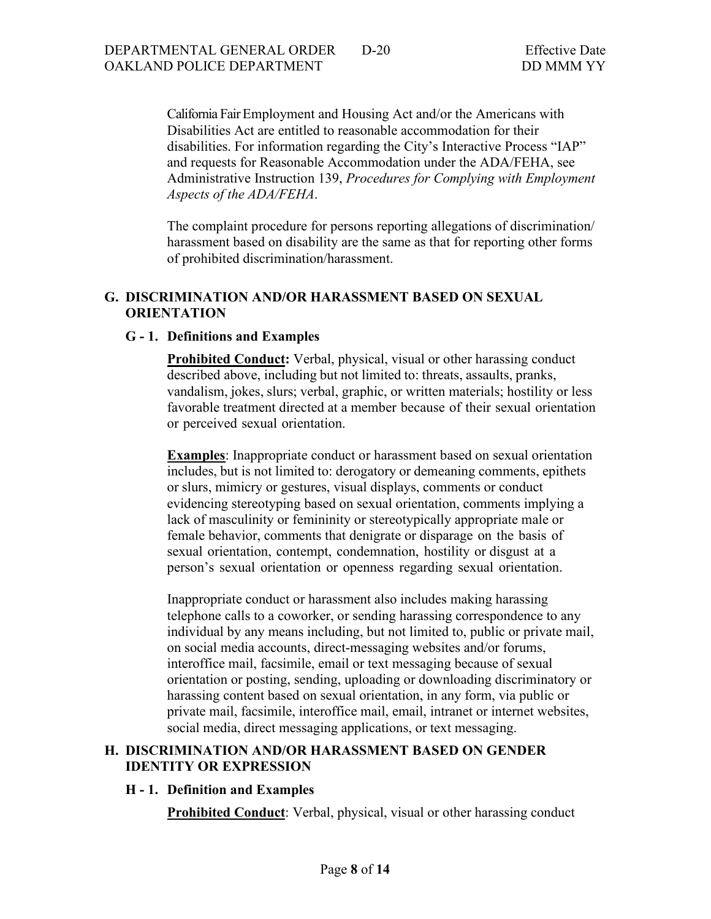California Fair Employment and Housing Act and/or the Americans with Disabilities Act are entitled to reasonable accommodation for their disabilities. For information regarding the City's Interactive Process "IAP" and requests for Reasonable Accommodation under the ADA/FEHA, see Administrative Instruction 139, *Procedures for Complying with Employment Aspects of the ADA/FEHA*.

The complaint procedure for persons reporting allegations of discrimination/ harassment based on disability are the same as that for reporting other forms of prohibited discrimination/harassment.

### **G. DISCRIMINATION AND/OR HARASSMENT BASED ON SEXUAL ORIENTATION**

#### **G - 1. Definitions and Examples**

**Prohibited Conduct:** Verbal, physical, visual or other harassing conduct described above, including but not limited to: threats, assaults, pranks, vandalism, jokes, slurs; verbal, graphic, or written materials; hostility or less favorable treatment directed at a member because of their sexual orientation or perceived sexual orientation.

**Examples**: Inappropriate conduct or harassment based on sexual orientation includes, but is not limited to: derogatory or demeaning comments, epithets or slurs, mimicry or gestures, visual displays, comments or conduct evidencing stereotyping based on sexual orientation, comments implying a lack of masculinity or femininity or stereotypically appropriate male or female behavior, comments that denigrate or disparage on the basis of sexual orientation, contempt, condemnation, hostility or disgust at a person's sexual orientation or openness regarding sexual orientation.

Inappropriate conduct or harassment also includes making harassing telephone calls to a coworker, or sending harassing correspondence to any individual by any means including, but not limited to, public or private mail, on social media accounts, direct-messaging websites and/or forums, interoffice mail, facsimile, email or text messaging because of sexual orientation or posting, sending, uploading or downloading discriminatory or harassing content based on sexual orientation, in any form, via public or private mail, facsimile, interoffice mail, email, intranet or internet websites, social media, direct messaging applications, or text messaging.

### **H. DISCRIMINATION AND/OR HARASSMENT BASED ON GENDER IDENTITY OR EXPRESSION**

#### **H - 1. Definition and Examples**

**Prohibited Conduct:** Verbal, physical, visual or other harassing conduct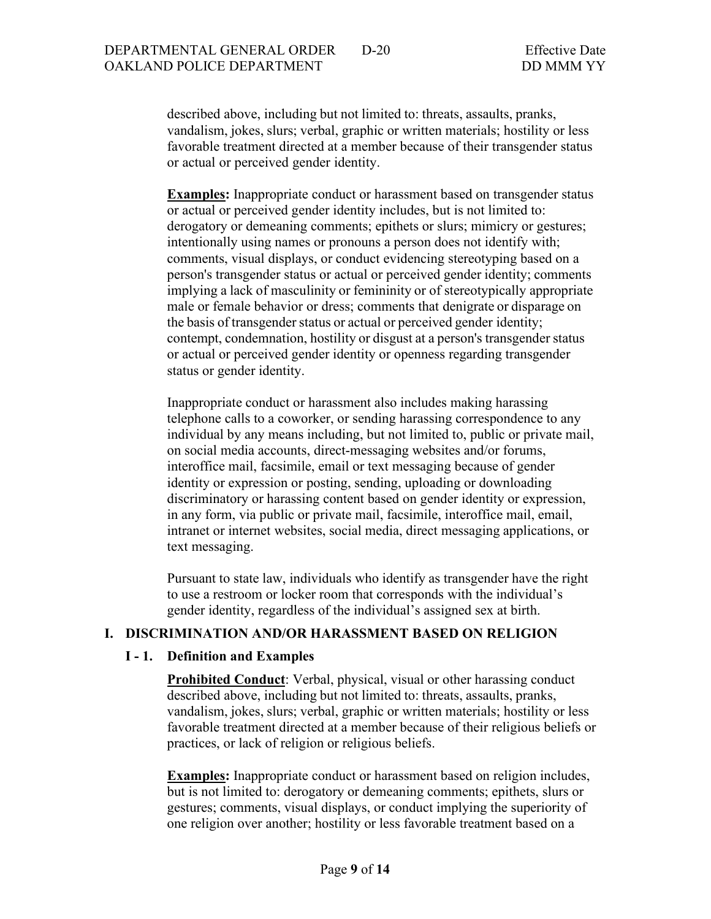described above, including but not limited to: threats, assaults, pranks, vandalism, jokes, slurs; verbal, graphic or written materials; hostility or less favorable treatment directed at a member because of their transgender status or actual or perceived gender identity.

**Examples:** Inappropriate conduct or harassment based on transgender status or actual or perceived gender identity includes, but is not limited to: derogatory or demeaning comments; epithets or slurs; mimicry or gestures; intentionally using names or pronouns a person does not identify with; comments, visual displays, or conduct evidencing stereotyping based on a person's transgender status or actual or perceived gender identity; comments implying a lack of masculinity or femininity or of stereotypically appropriate male or female behavior or dress; comments that denigrate or disparage on the basis of transgender status or actual or perceived gender identity; contempt, condemnation, hostility or disgust at a person's transgender status or actual or perceived gender identity or openness regarding transgender status or gender identity.

Inappropriate conduct or harassment also includes making harassing telephone calls to a coworker, or sending harassing correspondence to any individual by any means including, but not limited to, public or private mail, on social media accounts, direct-messaging websites and/or forums, interoffice mail, facsimile, email or text messaging because of gender identity or expression or posting, sending, uploading or downloading discriminatory or harassing content based on gender identity or expression, in any form, via public or private mail, facsimile, interoffice mail, email, intranet or internet websites, social media, direct messaging applications, or text messaging.

Pursuant to state law, individuals who identify as transgender have the right to use a restroom or locker room that corresponds with the individual's gender identity, regardless of the individual's assigned sex at birth.

### **I. DISCRIMINATION AND/OR HARASSMENT BASED ON RELIGION**

### **I - 1. Definition and Examples**

**Prohibited Conduct:** Verbal, physical, visual or other harassing conduct described above, including but not limited to: threats, assaults, pranks, vandalism, jokes, slurs; verbal, graphic or written materials; hostility or less favorable treatment directed at a member because of their religious beliefs or practices, or lack of religion or religious beliefs.

**Examples:** Inappropriate conduct or harassment based on religion includes, but is not limited to: derogatory or demeaning comments; epithets, slurs or gestures; comments, visual displays, or conduct implying the superiority of one religion over another; hostility or less favorable treatment based on a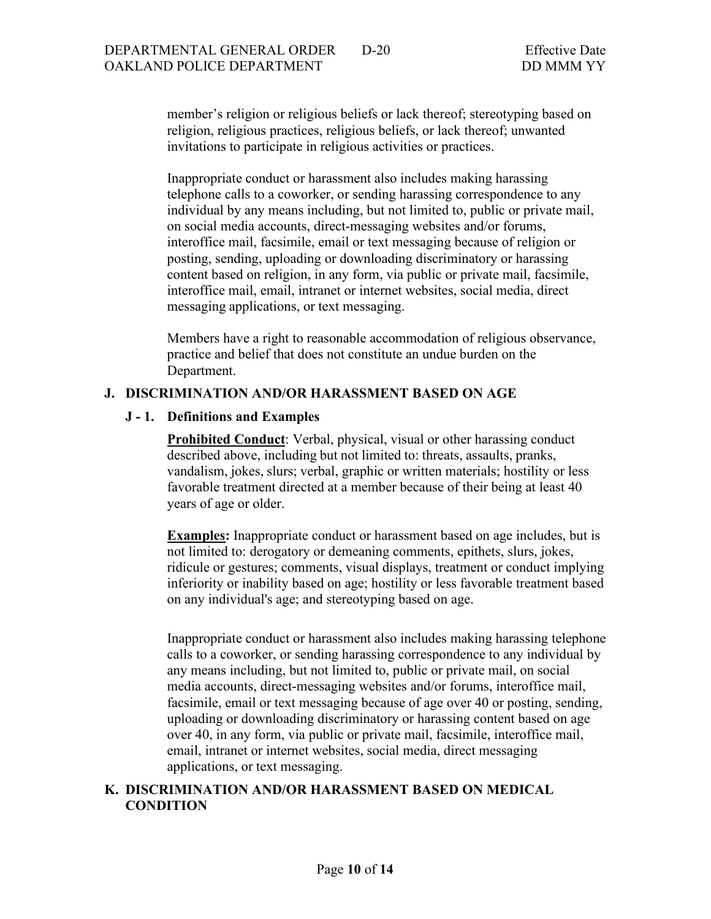member's religion or religious beliefs or lack thereof; stereotyping based on religion, religious practices, religious beliefs, or lack thereof; unwanted invitations to participate in religious activities or practices.

Inappropriate conduct or harassment also includes making harassing telephone calls to a coworker, or sending harassing correspondence to any individual by any means including, but not limited to, public or private mail, on social media accounts, direct-messaging websites and/or forums, interoffice mail, facsimile, email or text messaging because of religion or posting, sending, uploading or downloading discriminatory or harassing content based on religion, in any form, via public or private mail, facsimile, interoffice mail, email, intranet or internet websites, social media, direct messaging applications, or text messaging.

Members have a right to reasonable accommodation of religious observance, practice and belief that does not constitute an undue burden on the Department.

#### **J. DISCRIMINATION AND/OR HARASSMENT BASED ON AGE**

### **J - 1. Definitions and Examples**

**Prohibited Conduct:** Verbal, physical, visual or other harassing conduct described above, including but not limited to: threats, assaults, pranks, vandalism, jokes, slurs; verbal, graphic or written materials; hostility or less favorable treatment directed at a member because of their being at least 40 years of age or older.

**Examples:** Inappropriate conduct or harassment based on age includes, but is not limited to: derogatory or demeaning comments, epithets, slurs, jokes, ridicule or gestures; comments, visual displays, treatment or conduct implying inferiority or inability based on age; hostility or less favorable treatment based on any individual's age; and stereotyping based on age.

Inappropriate conduct or harassment also includes making harassing telephone calls to a coworker, or sending harassing correspondence to any individual by any means including, but not limited to, public or private mail, on social media accounts, direct-messaging websites and/or forums, interoffice mail, facsimile, email or text messaging because of age over 40 or posting, sending, uploading or downloading discriminatory or harassing content based on age over 40, in any form, via public or private mail, facsimile, interoffice mail, email, intranet or internet websites, social media, direct messaging applications, or text messaging.

### **K. DISCRIMINATION AND/OR HARASSMENT BASED ON MEDICAL CONDITION**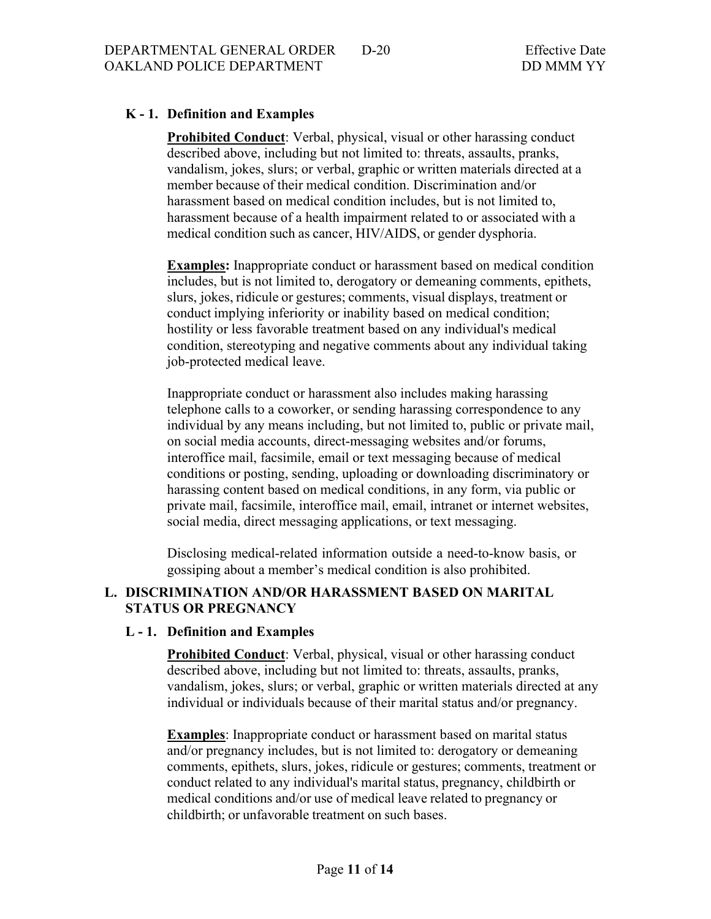## **K - 1. Definition and Examples**

**Prohibited Conduct**: Verbal, physical, visual or other harassing conduct described above, including but not limited to: threats, assaults, pranks, vandalism, jokes, slurs; or verbal, graphic or written materials directed at a member because of their medical condition. Discrimination and/or harassment based on medical condition includes, but is not limited to, harassment because of a health impairment related to or associated with a medical condition such as cancer, HIV/AIDS, or gender dysphoria.

**Examples:** Inappropriate conduct or harassment based on medical condition includes, but is not limited to, derogatory or demeaning comments, epithets, slurs, jokes, ridicule or gestures; comments, visual displays, treatment or conduct implying inferiority or inability based on medical condition; hostility or less favorable treatment based on any individual's medical condition, stereotyping and negative comments about any individual taking job-protected medical leave.

Inappropriate conduct or harassment also includes making harassing telephone calls to a coworker, or sending harassing correspondence to any individual by any means including, but not limited to, public or private mail, on social media accounts, direct-messaging websites and/or forums, interoffice mail, facsimile, email or text messaging because of medical conditions or posting, sending, uploading or downloading discriminatory or harassing content based on medical conditions, in any form, via public or private mail, facsimile, interoffice mail, email, intranet or internet websites, social media, direct messaging applications, or text messaging.

Disclosing medical-related information outside a need-to-know basis, or gossiping about a member's medical condition is also prohibited.

### **L. DISCRIMINATION AND/OR HARASSMENT BASED ON MARITAL STATUS OR PREGNANCY**

#### **L - 1. Definition and Examples**

**Prohibited Conduct**: Verbal, physical, visual or other harassing conduct described above, including but not limited to: threats, assaults, pranks, vandalism, jokes, slurs; or verbal, graphic or written materials directed at any individual or individuals because of their marital status and/or pregnancy.

**Examples**: Inappropriate conduct or harassment based on marital status and/or pregnancy includes, but is not limited to: derogatory or demeaning comments, epithets, slurs, jokes, ridicule or gestures; comments, treatment or conduct related to any individual's marital status, pregnancy, childbirth or medical conditions and/or use of medical leave related to pregnancy or childbirth; or unfavorable treatment on such bases.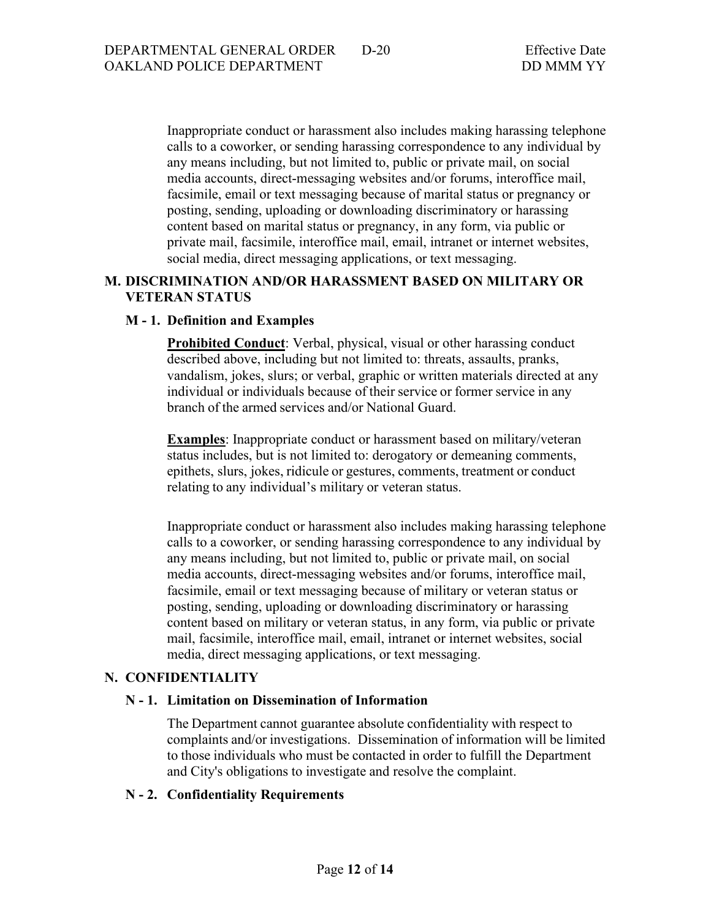Inappropriate conduct or harassment also includes making harassing telephone calls to a coworker, or sending harassing correspondence to any individual by any means including, but not limited to, public or private mail, on social media accounts, direct-messaging websites and/or forums, interoffice mail, facsimile, email or text messaging because of marital status or pregnancy or posting, sending, uploading or downloading discriminatory or harassing content based on marital status or pregnancy, in any form, via public or private mail, facsimile, interoffice mail, email, intranet or internet websites, social media, direct messaging applications, or text messaging.

### **M. DISCRIMINATION AND/OR HARASSMENT BASED ON MILITARY OR VETERAN STATUS**

#### **M - 1. Definition and Examples**

**Prohibited Conduct:** Verbal, physical, visual or other harassing conduct described above, including but not limited to: threats, assaults, pranks, vandalism, jokes, slurs; or verbal, graphic or written materials directed at any individual or individuals because of their service or former service in any branch of the armed services and/or National Guard.

**Examples**: Inappropriate conduct or harassment based on military/veteran status includes, but is not limited to: derogatory or demeaning comments, epithets, slurs, jokes, ridicule or gestures, comments, treatment or conduct relating to any individual's military or veteran status.

Inappropriate conduct or harassment also includes making harassing telephone calls to a coworker, or sending harassing correspondence to any individual by any means including, but not limited to, public or private mail, on social media accounts, direct-messaging websites and/or forums, interoffice mail, facsimile, email or text messaging because of military or veteran status or posting, sending, uploading or downloading discriminatory or harassing content based on military or veteran status, in any form, via public or private mail, facsimile, interoffice mail, email, intranet or internet websites, social media, direct messaging applications, or text messaging.

#### **N. CONFIDENTIALITY**

#### **N - 1. Limitation on Dissemination of Information**

The Department cannot guarantee absolute confidentiality with respect to complaints and/or investigations. Dissemination of information will be limited to those individuals who must be contacted in order to fulfill the Department and City's obligations to investigate and resolve the complaint.

#### **N - 2. Confidentiality Requirements**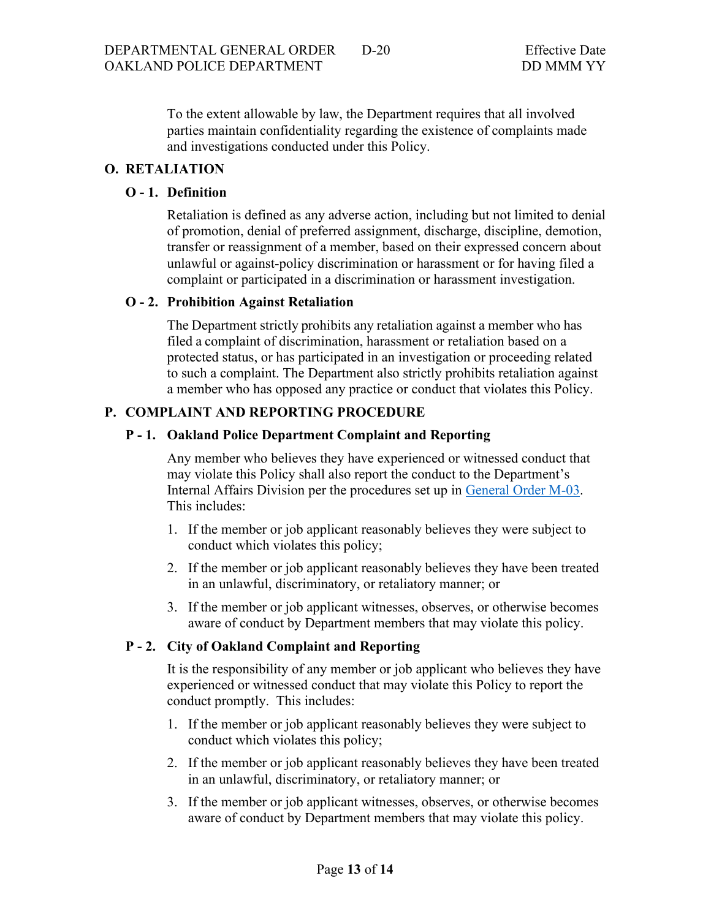To the extent allowable by law, the Department requires that all involved parties maintain confidentiality regarding the existence of complaints made and investigations conducted under this Policy.

### **O. RETALIATION**

### **O - 1. Definition**

Retaliation is defined as any adverse action, including but not limited to denial of promotion, denial of preferred assignment, discharge, discipline, demotion, transfer or reassignment of a member, based on their expressed concern about unlawful or against-policy discrimination or harassment or for having filed a complaint or participated in a discrimination or harassment investigation.

#### **O - 2. Prohibition Against Retaliation**

The Department strictly prohibits any retaliation against a member who has filed a complaint of discrimination, harassment or retaliation based on a protected status, or has participated in an investigation or proceeding related to such a complaint. The Department also strictly prohibits retaliation against a member who has opposed any practice or conduct that violates this Policy.

#### **P. COMPLAINT AND REPORTING PROCEDURE**

#### **P - 1. Oakland Police Department Complaint and Reporting**

Any member who believes they have experienced or witnessed conduct that may violate this Policy shall also report the conduct to the Department's Internal Affairs Division per the procedures set up in [General Order M-03.](https://public.powerdms.com/OAKLAND/documents/1266222) This includes:

- 1. If the member or job applicant reasonably believes they were subject to conduct which violates this policy;
- 2. If the member or job applicant reasonably believes they have been treated in an unlawful, discriminatory, or retaliatory manner; or
- 3. If the member or job applicant witnesses, observes, or otherwise becomes aware of conduct by Department members that may violate this policy.

#### **P - 2. City of Oakland Complaint and Reporting**

It is the responsibility of any member or job applicant who believes they have experienced or witnessed conduct that may violate this Policy to report the conduct promptly. This includes:

- 1. If the member or job applicant reasonably believes they were subject to conduct which violates this policy;
- 2. If the member or job applicant reasonably believes they have been treated in an unlawful, discriminatory, or retaliatory manner; or
- 3. If the member or job applicant witnesses, observes, or otherwise becomes aware of conduct by Department members that may violate this policy.